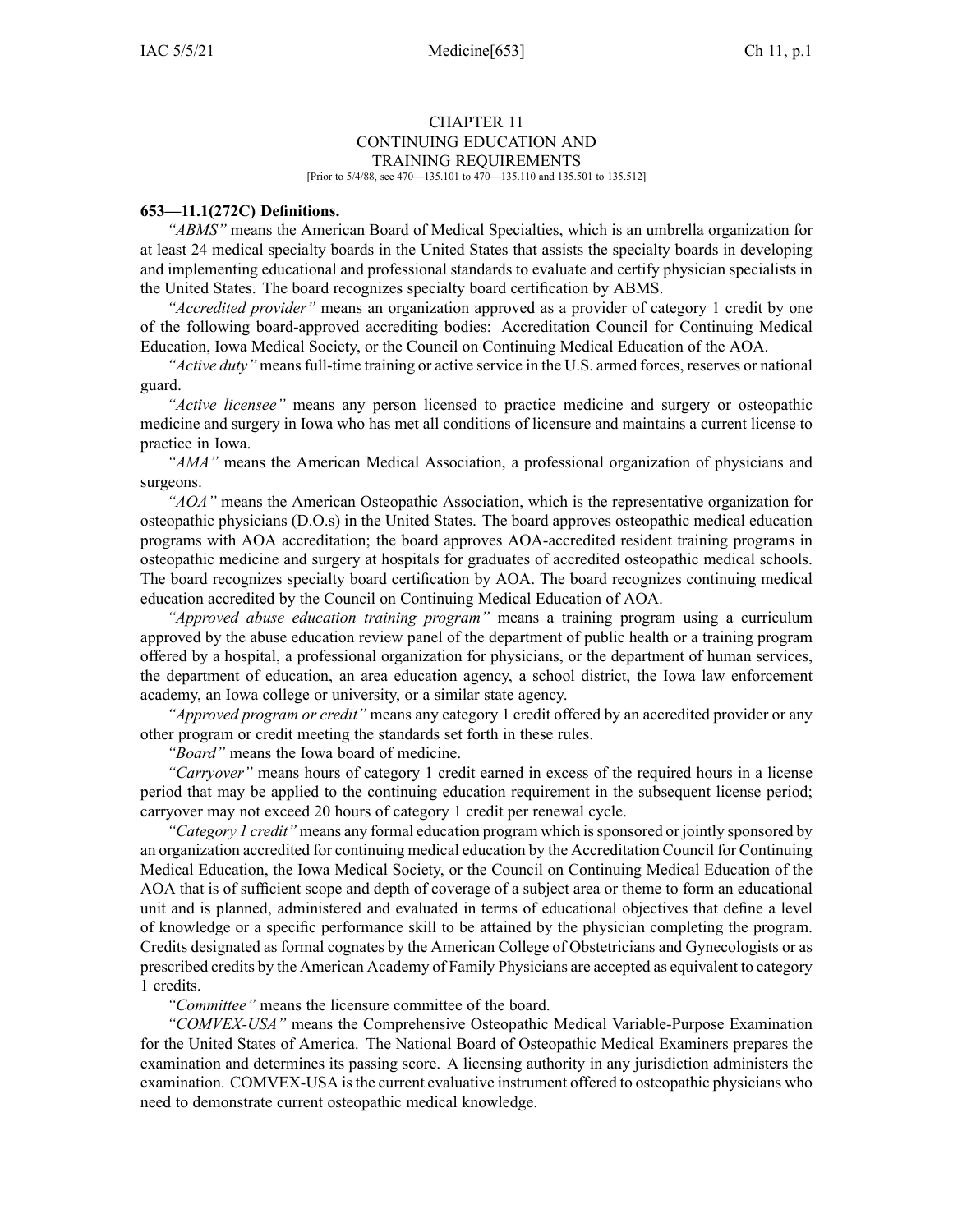### CHAPTER 11 CONTINUING EDUCATION AND TRAINING REQUIREMENTS

[Prior to 5/4/88, see 470—135.101 to 470—135.110 and 135.501 to 135.512]

#### **653—11.1(272C) Definitions.**

*"ABMS"* means the American Board of Medical Specialties, which is an umbrella organization for at least 24 medical specialty boards in the United States that assists the specialty boards in developing and implementing educational and professional standards to evaluate and certify physician specialists in the United States. The board recognizes specialty board certification by ABMS.

*"Accredited provider"* means an organization approved as <sup>a</sup> provider of category 1 credit by one of the following board-approved accrediting bodies: Accreditation Council for Continuing Medical Education, Iowa Medical Society, or the Council on Continuing Medical Education of the AOA.

*"Active duty"* meansfull-time training or active service in the U.S. armed forces, reserves or national guard.

*"Active licensee"* means any person licensed to practice medicine and surgery or osteopathic medicine and surgery in Iowa who has met all conditions of licensure and maintains <sup>a</sup> current license to practice in Iowa.

*"AMA"* means the American Medical Association, <sup>a</sup> professional organization of physicians and surgeons.

*"AOA"* means the American Osteopathic Association, which is the representative organization for osteopathic physicians (D.O.s) in the United States. The board approves osteopathic medical education programs with AOA accreditation; the board approves AOA-accredited resident training programs in osteopathic medicine and surgery at hospitals for graduates of accredited osteopathic medical schools. The board recognizes specialty board certification by AOA. The board recognizes continuing medical education accredited by the Council on Continuing Medical Education of AOA.

*"Approved abuse education training program"* means <sup>a</sup> training program using <sup>a</sup> curriculum approved by the abuse education review panel of the department of public health or <sup>a</sup> training program offered by <sup>a</sup> hospital, <sup>a</sup> professional organization for physicians, or the department of human services, the department of education, an area education agency, <sup>a</sup> school district, the Iowa law enforcement academy, an Iowa college or university, or <sup>a</sup> similar state agency.

*"Approved program or credit"* means any category 1 credit offered by an accredited provider or any other program or credit meeting the standards set forth in these rules.

*"Board"* means the Iowa board of medicine.

*"Carryover"* means hours of category 1 credit earned in excess of the required hours in <sup>a</sup> license period that may be applied to the continuing education requirement in the subsequent license period; carryover may not exceed 20 hours of category 1 credit per renewal cycle.

*"Category 1 credit"* means any formal education program which issponsored or jointly sponsored by an organization accredited for continuing medical education by the Accreditation Council for Continuing Medical Education, the Iowa Medical Society, or the Council on Continuing Medical Education of the AOA that is of sufficient scope and depth of coverage of <sup>a</sup> subject area or theme to form an educational unit and is planned, administered and evaluated in terms of educational objectives that define <sup>a</sup> level of knowledge or <sup>a</sup> specific performance skill to be attained by the physician completing the program. Credits designated as formal cognates by the American College of Obstetricians and Gynecologists or as prescribed credits by the American Academy of Family Physicians are accepted as equivalent to category 1 credits.

*"Committee"* means the licensure committee of the board.

*"COMVEX-USA"* means the Comprehensive Osteopathic Medical Variable-Purpose Examination for the United States of America. The National Board of Osteopathic Medical Examiners prepares the examination and determines its passing score. A licensing authority in any jurisdiction administers the examination. COMVEX-USA isthe current evaluative instrument offered to osteopathic physicians who need to demonstrate current osteopathic medical knowledge.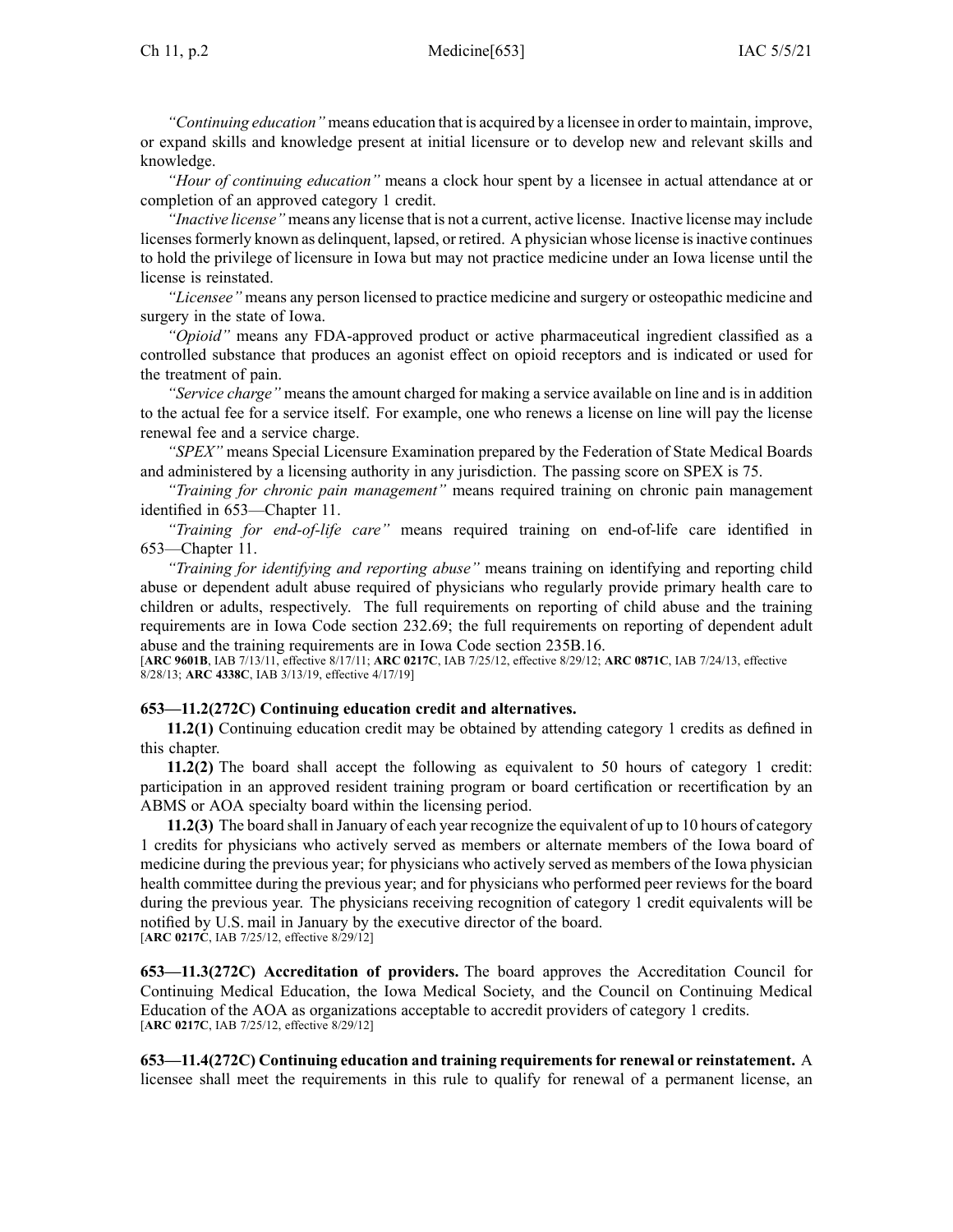### Ch 11, p.2 Medicine[653] IAC 5/5/21

*"Continuing education"* means education that is acquired by <sup>a</sup> licensee in order to maintain, improve, or expand skills and knowledge presen<sup>t</sup> at initial licensure or to develop new and relevant skills and knowledge.

*"Hour of continuing education"* means <sup>a</sup> clock hour spen<sup>t</sup> by <sup>a</sup> licensee in actual attendance at or completion of an approved category 1 credit.

*"Inactive license"* means any license that is not <sup>a</sup> current, active license. Inactive license may include licensesformerly known as delinquent, lapsed, or retired. Aphysician whose license isinactive continues to hold the privilege of licensure in Iowa but may not practice medicine under an Iowa license until the license is reinstated.

*"Licensee"* means any person licensed to practice medicine and surgery or osteopathic medicine and surgery in the state of Iowa.

*"Opioid"* means any FDA-approved product or active pharmaceutical ingredient classified as <sup>a</sup> controlled substance that produces an agonist effect on opioid receptors and is indicated or used for the treatment of pain.

*"Service charge"* means the amount charged for making <sup>a</sup> service available on line and is in addition to the actual fee for <sup>a</sup> service itself. For example, one who renews <sup>a</sup> license on line will pay the license renewal fee and <sup>a</sup> service charge.

*"SPEX"* means Special Licensure Examination prepared by the Federation of State Medical Boards and administered by <sup>a</sup> licensing authority in any jurisdiction. The passing score on SPEX is 75.

*"Training for chronic pain management"* means required training on chronic pain managemen<sup>t</sup> identified in [653—Chapter](https://www.legis.iowa.gov/docs/iac/chapter/653.11.pdf) 11.

*"Training for end-of-life care"* means required training on end-of-life care identified in [653—Chapter](https://www.legis.iowa.gov/docs/iac/chapter/653.11.pdf) 11.

*"Training for identifying and reporting abuse"* means training on identifying and reporting child abuse or dependent adult abuse required of physicians who regularly provide primary health care to children or adults, respectively. The full requirements on reporting of child abuse and the training requirements are in Iowa Code section [232.69](https://www.legis.iowa.gov/docs/ico/section/232.69.pdf); the full requirements on reporting of dependent adult abuse and the training requirements are in Iowa Code section [235B.16](https://www.legis.iowa.gov/docs/ico/section/235B.16.pdf).

[**ARC [9601B](https://www.legis.iowa.gov/docs/aco/arc/9601B.pdf)**, IAB 7/13/11, effective 8/17/11; **ARC [0217C](https://www.legis.iowa.gov/docs/aco/arc/0217C.pdf)**, IAB 7/25/12, effective 8/29/12; **ARC [0871C](https://www.legis.iowa.gov/docs/aco/arc/0871C.pdf)**, IAB 7/24/13, effective 8/28/13; **ARC [4338C](https://www.legis.iowa.gov/docs/aco/arc/4338C.pdf)**, IAB 3/13/19, effective 4/17/19]

## **653—11.2(272C) Continuing education credit and alternatives.**

**11.2(1)** Continuing education credit may be obtained by attending category 1 credits as defined in this chapter.

**11.2(2)** The board shall accep<sup>t</sup> the following as equivalent to 50 hours of category 1 credit: participation in an approved resident training program or board certification or recertification by an ABMS or AOA specialty board within the licensing period.

**11.2(3)** The board shall in January of each year recognize the equivalent of up to 10 hours of category 1 credits for physicians who actively served as members or alternate members of the Iowa board of medicine during the previous year; for physicians who actively served as members of the Iowa physician health committee during the previous year; and for physicians who performed peer reviews for the board during the previous year. The physicians receiving recognition of category 1 credit equivalents will be notified by U.S. mail in January by the executive director of the board. [**ARC [0217C](https://www.legis.iowa.gov/docs/aco/arc/0217C.pdf)**, IAB 7/25/12, effective 8/29/12]

**653—11.3(272C) Accreditation of providers.** The board approves the Accreditation Council for Continuing Medical Education, the Iowa Medical Society, and the Council on Continuing Medical Education of the AOA as organizations acceptable to accredit providers of category 1 credits. [**ARC [0217C](https://www.legis.iowa.gov/docs/aco/arc/0217C.pdf)**, IAB 7/25/12, effective 8/29/12]

**653—11.4(272C) Continuing education and training requirementsfor renewal or reinstatement.** A licensee shall meet the requirements in this rule to qualify for renewal of <sup>a</sup> permanen<sup>t</sup> license, an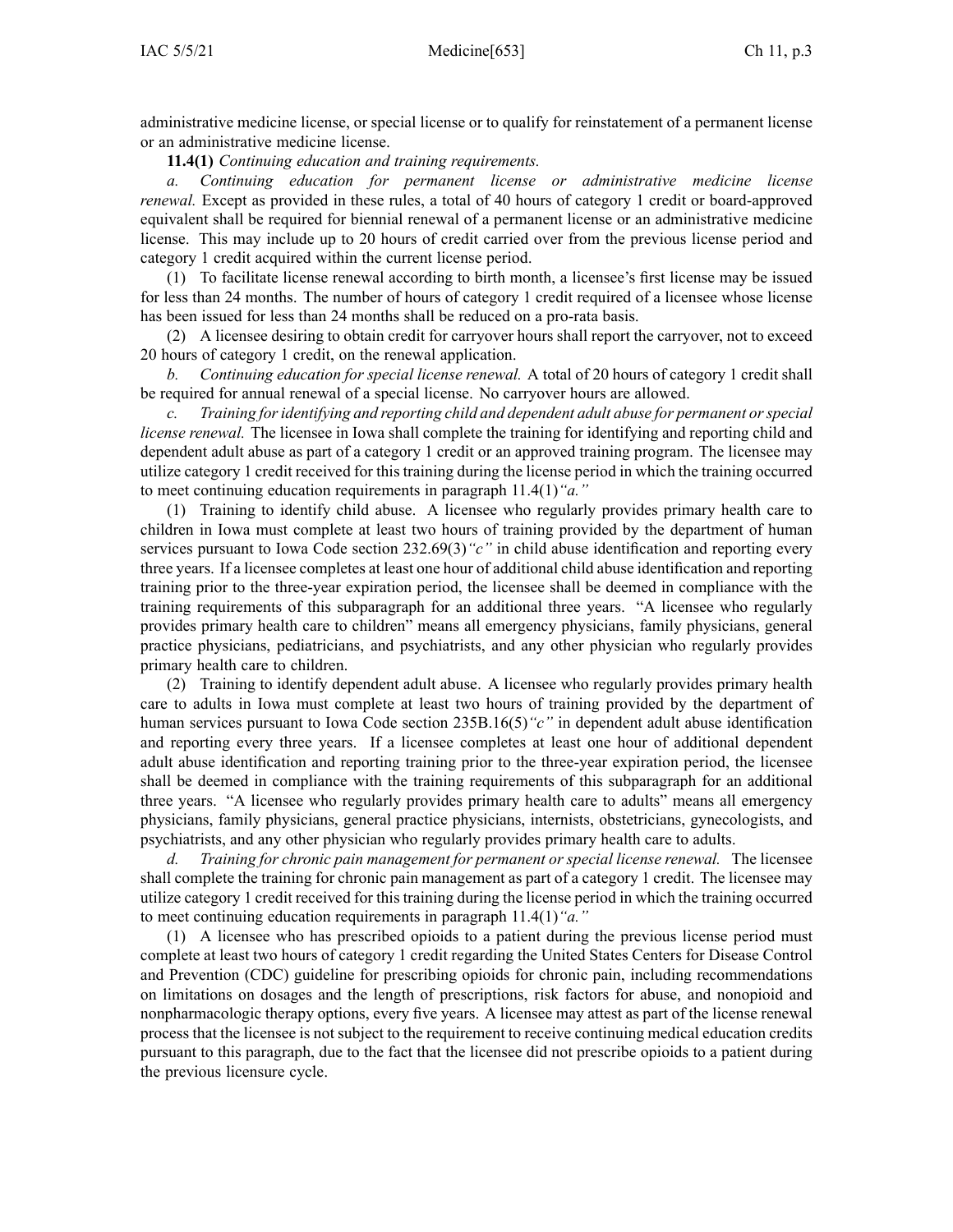administrative medicine license, or special license or to qualify for reinstatement of <sup>a</sup> permanen<sup>t</sup> license or an administrative medicine license.

**11.4(1)** *Continuing education and training requirements.*

*a. Continuing education for permanen<sup>t</sup> license or administrative medicine license renewal.* Except as provided in these rules, <sup>a</sup> total of 40 hours of category 1 credit or board-approved equivalent shall be required for biennial renewal of <sup>a</sup> permanen<sup>t</sup> license or an administrative medicine license. This may include up to 20 hours of credit carried over from the previous license period and category 1 credit acquired within the current license period.

(1) To facilitate license renewal according to birth month, <sup>a</sup> licensee's first license may be issued for less than 24 months. The number of hours of category 1 credit required of <sup>a</sup> licensee whose license has been issued for less than 24 months shall be reduced on <sup>a</sup> pro-rata basis.

(2) A licensee desiring to obtain credit for carryover hours shall repor<sup>t</sup> the carryover, not to exceed 20 hours of category 1 credit, on the renewal application.

*b. Continuing education for special license renewal.* A total of 20 hours of category 1 credit shall be required for annual renewal of <sup>a</sup> special license. No carryover hours are allowed.

*c. Training foridentifying and reporting child and dependent adult abuse for permanen<sup>t</sup> orspecial license renewal.* The licensee in Iowa shall complete the training for identifying and reporting child and dependent adult abuse as par<sup>t</sup> of <sup>a</sup> category 1 credit or an approved training program. The licensee may utilize category 1 credit received for this training during the license period in which the training occurred to meet continuing education requirements in paragraph [11.4\(1\)](https://www.legis.iowa.gov/docs/iac/rule/653.11.4.pdf)*"a."*

(1) Training to identify child abuse. A licensee who regularly provides primary health care to children in Iowa must complete at least two hours of training provided by the department of human services pursuan<sup>t</sup> to Iowa Code section [232.69\(3\)](https://www.legis.iowa.gov/docs/ico/section/232.69.pdf)*"c"* in child abuse identification and reporting every three years. If <sup>a</sup> licensee completes at least one hour of additional child abuse identification and reporting training prior to the three-year expiration period, the licensee shall be deemed in compliance with the training requirements of this subparagraph for an additional three years. "A licensee who regularly provides primary health care to children" means all emergency physicians, family physicians, general practice physicians, pediatricians, and psychiatrists, and any other physician who regularly provides primary health care to children.

(2) Training to identify dependent adult abuse. A licensee who regularly provides primary health care to adults in Iowa must complete at least two hours of training provided by the department of human services pursuan<sup>t</sup> to Iowa Code section [235B.16\(5\)](https://www.legis.iowa.gov/docs/ico/section/235B.16.pdf)*"c"* in dependent adult abuse identification and reporting every three years. If <sup>a</sup> licensee completes at least one hour of additional dependent adult abuse identification and reporting training prior to the three-year expiration period, the licensee shall be deemed in compliance with the training requirements of this subparagraph for an additional three years. "A licensee who regularly provides primary health care to adults" means all emergency physicians, family physicians, general practice physicians, internists, obstetricians, gynecologists, and psychiatrists, and any other physician who regularly provides primary health care to adults.

*d. Training for chronic pain managemen<sup>t</sup> for permanen<sup>t</sup> or special license renewal.* The licensee shall complete the training for chronic pain managemen<sup>t</sup> as par<sup>t</sup> of <sup>a</sup> category 1 credit. The licensee may utilize category 1 credit received for this training during the license period in which the training occurred to meet continuing education requirements in paragraph [11.4\(1\)](https://www.legis.iowa.gov/docs/iac/rule/653.11.4.pdf)*"a."*

(1) A licensee who has prescribed opioids to <sup>a</sup> patient during the previous license period must complete at least two hours of category 1 credit regarding the United States Centers for Disease Control and Prevention (CDC) guideline for prescribing opioids for chronic pain, including recommendations on limitations on dosages and the length of prescriptions, risk factors for abuse, and nonopioid and nonpharmacologic therapy options, every five years. A licensee may attest as par<sup>t</sup> of the license renewal process that the licensee is not subject to the requirement to receive continuing medical education credits pursuan<sup>t</sup> to this paragraph, due to the fact that the licensee did not prescribe opioids to <sup>a</sup> patient during the previous licensure cycle.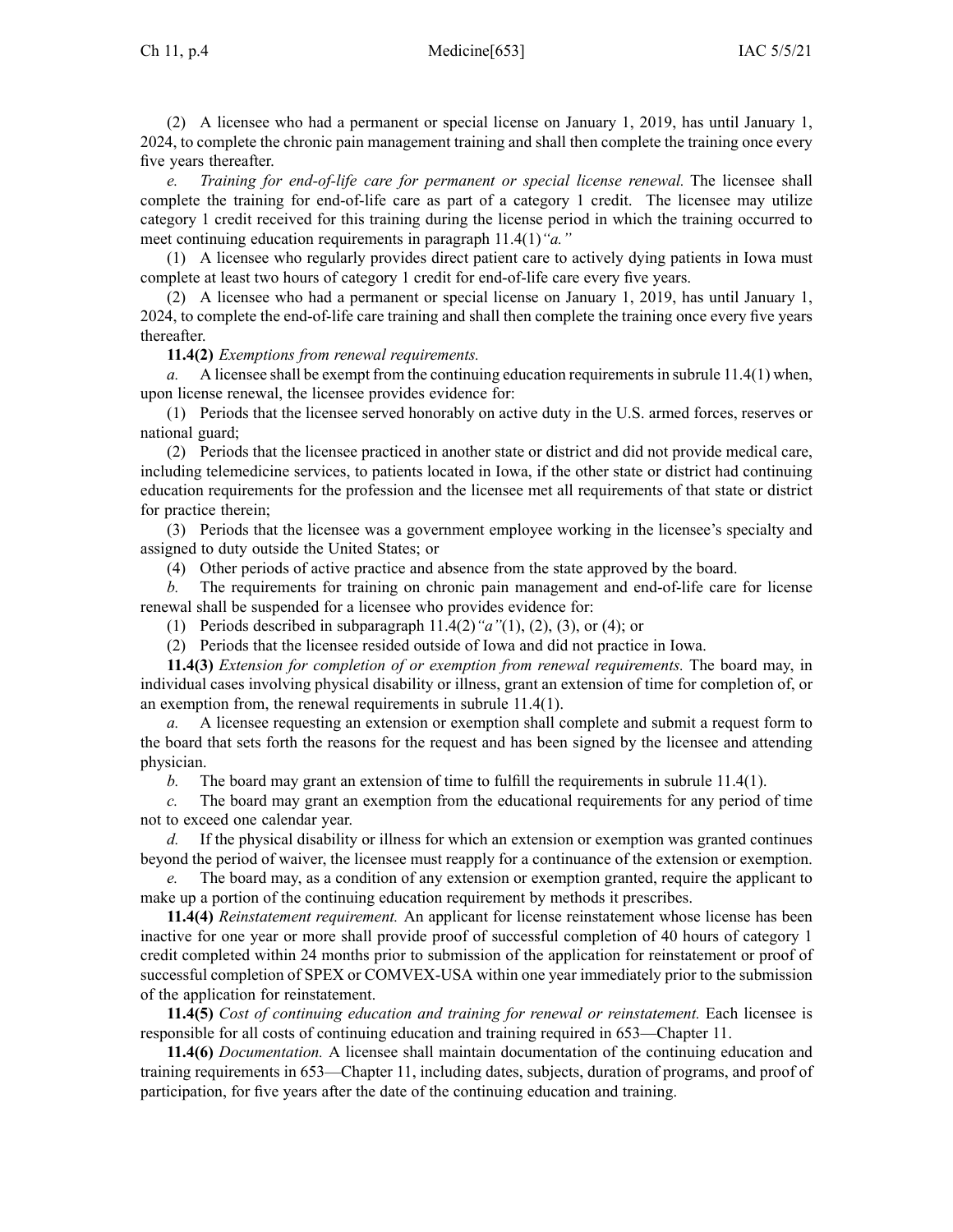(2) A licensee who had <sup>a</sup> permanen<sup>t</sup> or special license on January 1, 2019, has until January 1, 2024, to complete the chronic pain managemen<sup>t</sup> training and shall then complete the training once every five years thereafter.

*e. Training for end-of-life care for permanen<sup>t</sup> or special license renewal.* The licensee shall complete the training for end-of-life care as par<sup>t</sup> of <sup>a</sup> category 1 credit. The licensee may utilize category 1 credit received for this training during the license period in which the training occurred to meet continuing education requirements in paragraph [11.4\(1\)](https://www.legis.iowa.gov/docs/iac/rule/653.11.4.pdf)*"a."*

(1) A licensee who regularly provides direct patient care to actively dying patients in Iowa must complete at least two hours of category 1 credit for end-of-life care every five years.

(2) A licensee who had <sup>a</sup> permanen<sup>t</sup> or special license on January 1, 2019, has until January 1, 2024, to complete the end-of-life care training and shall then complete the training once every five years thereafter.

# **11.4(2)** *Exemptions from renewal requirements.*

*a.* A licensee shall be exempt from the continuing education requirements in subrule [11.4\(1\)](https://www.legis.iowa.gov/docs/iac/rule/653.11.4.pdf) when, upon license renewal, the licensee provides evidence for:

(1) Periods that the licensee served honorably on active duty in the U.S. armed forces, reserves or national guard;

(2) Periods that the licensee practiced in another state or district and did not provide medical care, including telemedicine services, to patients located in Iowa, if the other state or district had continuing education requirements for the profession and the licensee met all requirements of that state or district for practice therein;

(3) Periods that the licensee was <sup>a</sup> governmen<sup>t</sup> employee working in the licensee's specialty and assigned to duty outside the United States; or

(4) Other periods of active practice and absence from the state approved by the board.

The requirements for training on chronic pain management and end-of-life care for license renewal shall be suspended for <sup>a</sup> licensee who provides evidence for:

(1) Periods described in subparagraph [11.4\(2\)](https://www.legis.iowa.gov/docs/iac/rule/653.11.4.pdf)*"a"*(1), (2), (3), or (4); or

(2) Periods that the licensee resided outside of Iowa and did not practice in Iowa.

**11.4(3)** *Extension for completion of or exemption from renewal requirements.* The board may, in individual cases involving physical disability or illness, gran<sup>t</sup> an extension of time for completion of, or an exemption from, the renewal requirements in subrule [11.4\(1\)](https://www.legis.iowa.gov/docs/iac/rule/653.11.4.pdf).

*a.* A licensee requesting an extension or exemption shall complete and submit <sup>a</sup> reques<sup>t</sup> form to the board that sets forth the reasons for the reques<sup>t</sup> and has been signed by the licensee and attending physician.

*b.* The board may gran<sup>t</sup> an extension of time to fulfill the requirements in subrule [11.4\(1\)](https://www.legis.iowa.gov/docs/iac/rule/653.11.4.pdf).

*c.* The board may gran<sup>t</sup> an exemption from the educational requirements for any period of time not to exceed one calendar year.

*d.* If the physical disability or illness for which an extension or exemption was granted continues beyond the period of waiver, the licensee must reapply for <sup>a</sup> continuance of the extension or exemption.

The board may, as a condition of any extension or exemption granted, require the applicant to make up <sup>a</sup> portion of the continuing education requirement by methods it prescribes.

**11.4(4)** *Reinstatement requirement.* An applicant for license reinstatement whose license has been inactive for one year or more shall provide proof of successful completion of 40 hours of category 1 credit completed within 24 months prior to submission of the application for reinstatement or proof of successful completion of SPEX or COMVEX-USA within one year immediately prior to the submission of the application for reinstatement.

**11.4(5)** *Cost of continuing education and training for renewal or reinstatement.* Each licensee is responsible for all costs of continuing education and training required in [653—Chapter](https://www.legis.iowa.gov/docs/iac/chapter/653.11.pdf) 11.

**11.4(6)** *Documentation.* A licensee shall maintain documentation of the continuing education and training requirements in [653—Chapter](https://www.legis.iowa.gov/docs/iac/chapter/653.11.pdf) 11, including dates, subjects, duration of programs, and proof of participation, for five years after the date of the continuing education and training.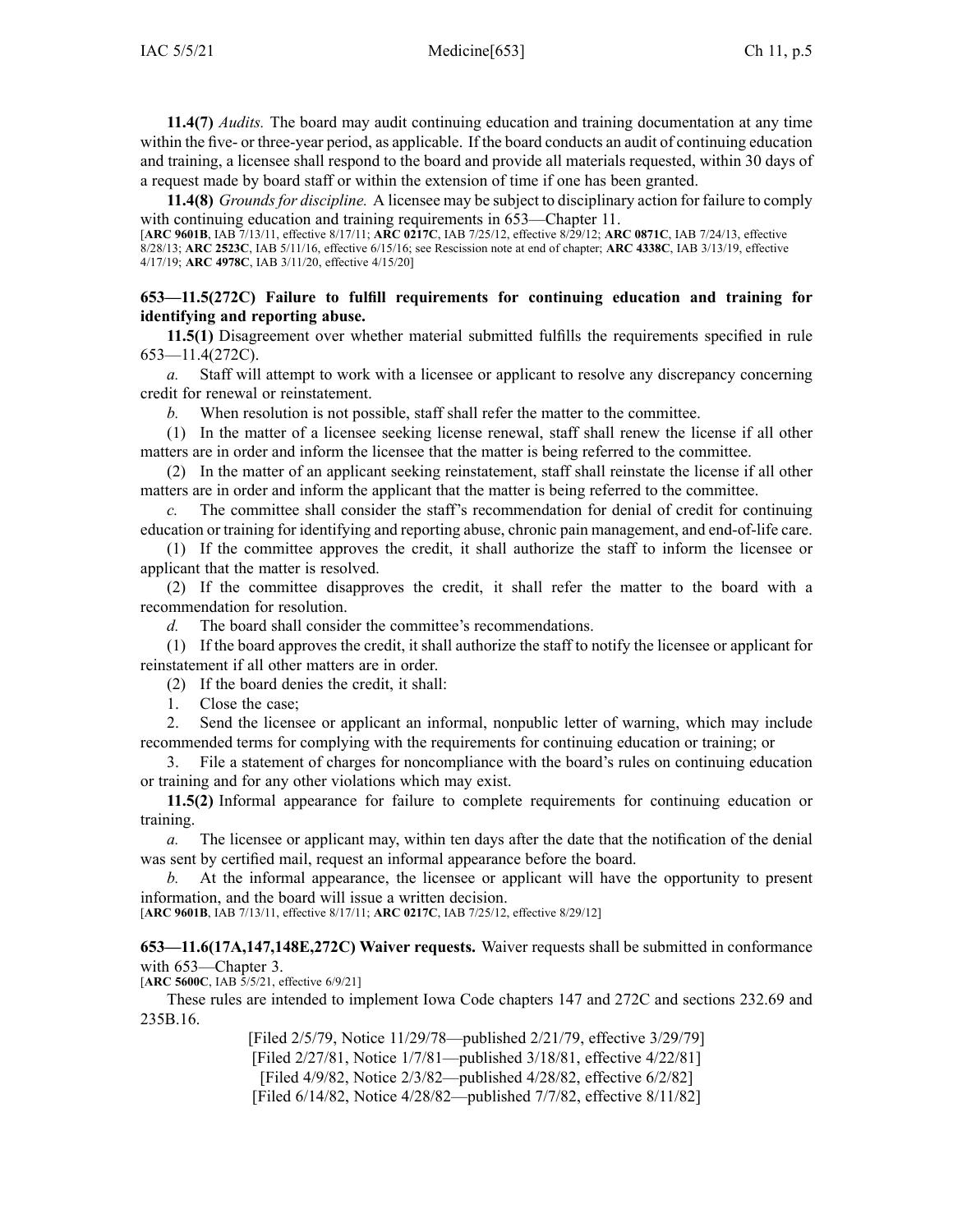**11.4(7)** *Audits.* The board may audit continuing education and training documentation at any time within the five- or three-year period, as applicable. If the board conducts an audit of continuing education and training, <sup>a</sup> licensee shall respond to the board and provide all materials requested, within 30 days of <sup>a</sup> reques<sup>t</sup> made by board staff or within the extension of time if one has been granted.

**11.4(8)** *Groundsfor discipline.* A licensee may be subject to disciplinary action for failure to comply with continuing education and training requirements in [653—Chapter](https://www.legis.iowa.gov/docs/iac/chapter/653.11.pdf) 11.

[**ARC [9601B](https://www.legis.iowa.gov/docs/aco/arc/9601B.pdf)**, IAB 7/13/11, effective 8/17/11; **ARC [0217C](https://www.legis.iowa.gov/docs/aco/arc/0217C.pdf)**, IAB 7/25/12, effective 8/29/12; **ARC [0871C](https://www.legis.iowa.gov/docs/aco/arc/0871C.pdf)**, IAB 7/24/13, effective 8/28/13; **ARC [2523C](https://www.legis.iowa.gov/docs/aco/arc/2523C.pdf)**, IAB 5/11/16, effective 6/15/16; see Rescission note at end of chapter; **ARC [4338C](https://www.legis.iowa.gov/docs/aco/arc/4338C.pdf)**, IAB 3/13/19, effective 4/17/19; **ARC [4978C](https://www.legis.iowa.gov/docs/aco/arc/4978C.pdf)**, IAB 3/11/20, effective 4/15/20]

## **653—11.5(272C) Failure to fulfill requirements for continuing education and training for identifying and reporting abuse.**

**11.5(1)** Disagreement over whether material submitted fulfills the requirements specified in rule [653—11.4](https://www.legis.iowa.gov/docs/iac/rule/653.11.4.pdf)(272C).

*a.* Staff will attempt to work with <sup>a</sup> licensee or applicant to resolve any discrepancy concerning credit for renewal or reinstatement.

*b.* When resolution is not possible, staff shall refer the matter to the committee.

(1) In the matter of <sup>a</sup> licensee seeking license renewal, staff shall renew the license if all other matters are in order and inform the licensee that the matter is being referred to the committee.

(2) In the matter of an applicant seeking reinstatement, staff shall reinstate the license if all other matters are in order and inform the applicant that the matter is being referred to the committee.

*c.* The committee shall consider the staff's recommendation for denial of credit for continuing education or training for identifying and reporting abuse, chronic pain management, and end-of-life care.

(1) If the committee approves the credit, it shall authorize the staff to inform the licensee or applicant that the matter is resolved.

(2) If the committee disapproves the credit, it shall refer the matter to the board with <sup>a</sup> recommendation for resolution.

*d.* The board shall consider the committee's recommendations.

(1) If the board approves the credit, it shall authorize the staff to notify the licensee or applicant for reinstatement if all other matters are in order.

(2) If the board denies the credit, it shall:

1. Close the case;

2. Send the licensee or applicant an informal, nonpublic letter of warning, which may include recommended terms for complying with the requirements for continuing education or training; or

3. File <sup>a</sup> statement of charges for noncompliance with the board's rules on continuing education or training and for any other violations which may exist.

**11.5(2)** Informal appearance for failure to complete requirements for continuing education or training.

*a.* The licensee or applicant may, within ten days after the date that the notification of the denial was sent by certified mail, reques<sup>t</sup> an informal appearance before the board.

*b.* At the informal appearance, the licensee or applicant will have the opportunity to presen<sup>t</sup> information, and the board will issue <sup>a</sup> written decision.

[**ARC [9601B](https://www.legis.iowa.gov/docs/aco/arc/9601B.pdf)**, IAB 7/13/11, effective 8/17/11; **ARC [0217C](https://www.legis.iowa.gov/docs/aco/arc/0217C.pdf)**, IAB 7/25/12, effective 8/29/12]

**653—11.6(17A,147,148E,272C) Waiver requests.** Waiver requests shall be submitted in conformance with [653—Chapter](https://www.legis.iowa.gov/docs/iac/chapter/653.3.pdf) 3.

[**ARC [5600C](https://www.legis.iowa.gov/docs/aco/arc/5600C.pdf)**, IAB 5/5/21, effective 6/9/21]

These rules are intended to implement Iowa Code chapters [147](https://www.legis.iowa.gov/docs/ico/chapter/147.pdf) and [272C](https://www.legis.iowa.gov/docs/ico/chapter/272C.pdf) and sections [232.69](https://www.legis.iowa.gov/docs/ico/section/232.69.pdf) and [235B.16](https://www.legis.iowa.gov/docs/ico/section/235B.16.pdf).

> [Filed 2/5/79, Notice 11/29/78—published 2/21/79, effective 3/29/79] [Filed 2/27/81, Notice 1/7/81—published 3/18/81, effective 4/22/81] [Filed 4/9/82, Notice 2/3/82—published 4/28/82, effective 6/2/82] [Filed 6/14/82, Notice 4/28/82—published 7/7/82, effective 8/11/82]